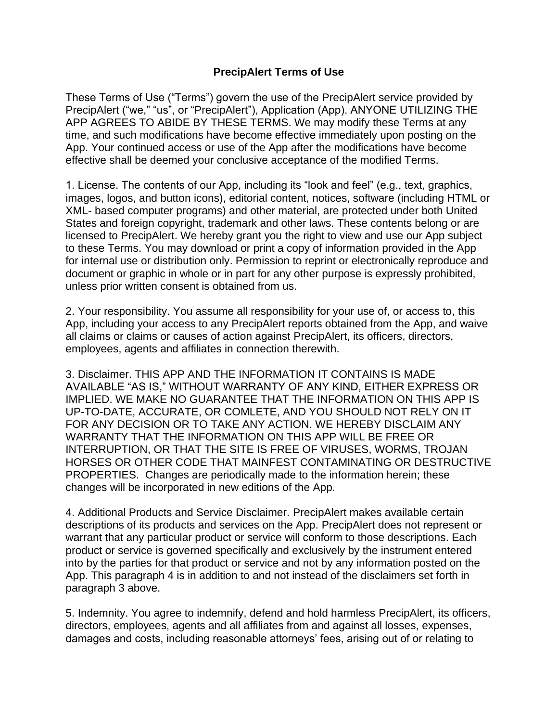## **PrecipAlert Terms of Use**

These Terms of Use ("Terms") govern the use of the PrecipAlert service provided by PrecipAlert ("we," "us", or "PrecipAlert"), Application (App). ANYONE UTILIZING THE APP AGREES TO ABIDE BY THESE TERMS. We may modify these Terms at any time, and such modifications have become effective immediately upon posting on the App. Your continued access or use of the App after the modifications have become effective shall be deemed your conclusive acceptance of the modified Terms.

1. License. The contents of our App, including its "look and feel" (e.g., text, graphics, images, logos, and button icons), editorial content, notices, software (including HTML or XML- based computer programs) and other material, are protected under both United States and foreign copyright, trademark and other laws. These contents belong or are licensed to PrecipAlert. We hereby grant you the right to view and use our App subject to these Terms. You may download or print a copy of information provided in the App for internal use or distribution only. Permission to reprint or electronically reproduce and document or graphic in whole or in part for any other purpose is expressly prohibited, unless prior written consent is obtained from us.

2. Your responsibility. You assume all responsibility for your use of, or access to, this App, including your access to any PrecipAlert reports obtained from the App, and waive all claims or claims or causes of action against PrecipAlert, its officers, directors, employees, agents and affiliates in connection therewith.

3. Disclaimer. THIS APP AND THE INFORMATION IT CONTAINS IS MADE AVAILABLE "AS IS," WITHOUT WARRANTY OF ANY KIND, EITHER EXPRESS OR IMPLIED. WE MAKE NO GUARANTEE THAT THE INFORMATION ON THIS APP IS UP-TO-DATE, ACCURATE, OR COMLETE, AND YOU SHOULD NOT RELY ON IT FOR ANY DECISION OR TO TAKE ANY ACTION. WE HEREBY DISCLAIM ANY WARRANTY THAT THE INFORMATION ON THIS APP WILL BE FREE OR INTERRUPTION, OR THAT THE SITE IS FREE OF VIRUSES, WORMS, TROJAN HORSES OR OTHER CODE THAT MAINFEST CONTAMINATING OR DESTRUCTIVE PROPERTIES. Changes are periodically made to the information herein; these changes will be incorporated in new editions of the App.

4. Additional Products and Service Disclaimer. PrecipAlert makes available certain descriptions of its products and services on the App. PrecipAlert does not represent or warrant that any particular product or service will conform to those descriptions. Each product or service is governed specifically and exclusively by the instrument entered into by the parties for that product or service and not by any information posted on the App. This paragraph 4 is in addition to and not instead of the disclaimers set forth in paragraph 3 above.

5. Indemnity. You agree to indemnify, defend and hold harmless PrecipAlert, its officers, directors, employees, agents and all affiliates from and against all losses, expenses, damages and costs, including reasonable attorneys' fees, arising out of or relating to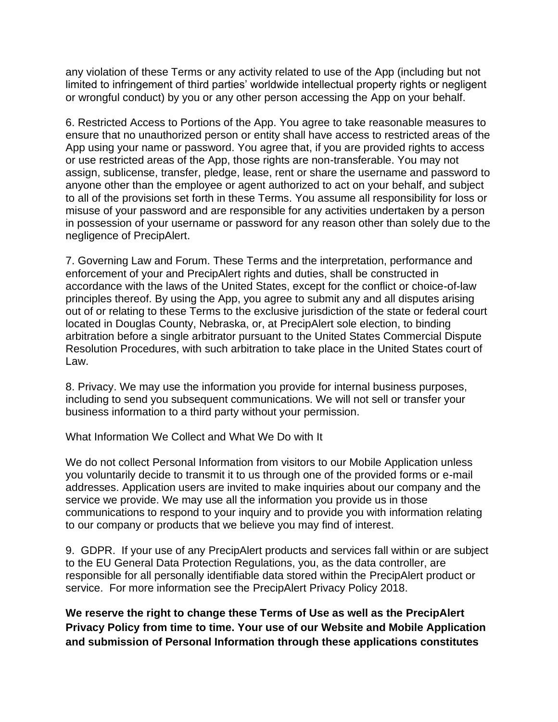any violation of these Terms or any activity related to use of the App (including but not limited to infringement of third parties' worldwide intellectual property rights or negligent or wrongful conduct) by you or any other person accessing the App on your behalf.

6. Restricted Access to Portions of the App. You agree to take reasonable measures to ensure that no unauthorized person or entity shall have access to restricted areas of the App using your name or password. You agree that, if you are provided rights to access or use restricted areas of the App, those rights are non-transferable. You may not assign, sublicense, transfer, pledge, lease, rent or share the username and password to anyone other than the employee or agent authorized to act on your behalf, and subject to all of the provisions set forth in these Terms. You assume all responsibility for loss or misuse of your password and are responsible for any activities undertaken by a person in possession of your username or password for any reason other than solely due to the negligence of PrecipAlert.

7. Governing Law and Forum. These Terms and the interpretation, performance and enforcement of your and PrecipAlert rights and duties, shall be constructed in accordance with the laws of the United States, except for the conflict or choice-of-law principles thereof. By using the App, you agree to submit any and all disputes arising out of or relating to these Terms to the exclusive jurisdiction of the state or federal court located in Douglas County, Nebraska, or, at PrecipAlert sole election, to binding arbitration before a single arbitrator pursuant to the United States Commercial Dispute Resolution Procedures, with such arbitration to take place in the United States court of Law.

8. Privacy. We may use the information you provide for internal business purposes, including to send you subsequent communications. We will not sell or transfer your business information to a third party without your permission.

What Information We Collect and What We Do with It

We do not collect Personal Information from visitors to our Mobile Application unless you voluntarily decide to transmit it to us through one of the provided forms or e-mail addresses. Application users are invited to make inquiries about our company and the service we provide. We may use all the information you provide us in those communications to respond to your inquiry and to provide you with information relating to our company or products that we believe you may find of interest.

9. GDPR. If your use of any PrecipAlert products and services fall within or are subject to the EU General Data Protection Regulations, you, as the data controller, are responsible for all personally identifiable data stored within the PrecipAlert product or service. For more information see the PrecipAlert Privacy Policy 2018.

**We reserve the right to change these Terms of Use as well as the PrecipAlert Privacy Policy from time to time. Your use of our Website and Mobile Application and submission of Personal Information through these applications constitutes**